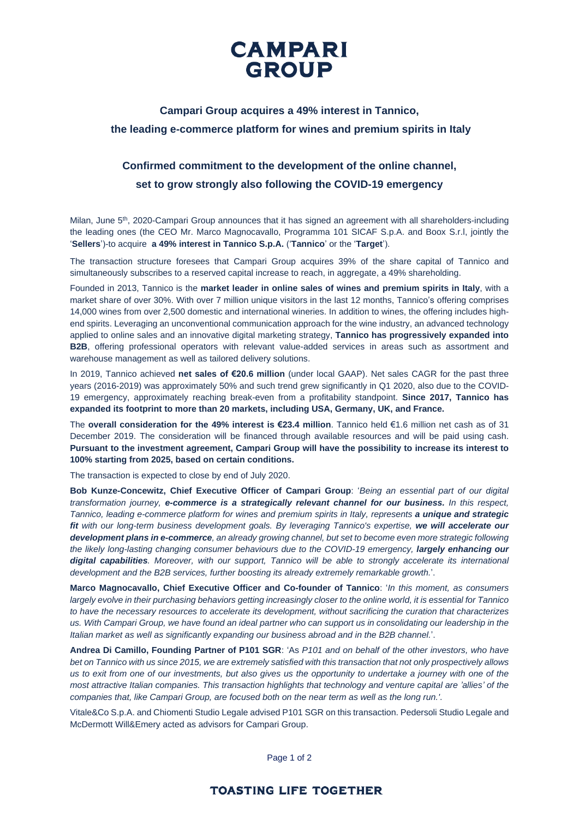

## **Campari Group acquires a 49% interest in Tannico, the leading e-commerce platform for wines and premium spirits in Italy**

# **Confirmed commitment to the development of the online channel, set to grow strongly also following the COVID-19 emergency**

Milan, June 5<sup>th</sup>, 2020-Campari Group announces that it has signed an agreement with all shareholders-including the leading ones (the CEO Mr. Marco Magnocavallo, Programma 101 SICAF S.p.A. and Boox S.r.l, jointly the '**Sellers**')-to acquire **a 49% interest in Tannico S.p.A.** ('**Tannico**' or the '**Target**').

The transaction structure foresees that Campari Group acquires 39% of the share capital of Tannico and simultaneously subscribes to a reserved capital increase to reach, in aggregate, a 49% shareholding.

Founded in 2013, Tannico is the **market leader in online sales of wines and premium spirits in Italy**, with a market share of over 30%. With over 7 million unique visitors in the last 12 months, Tannico's offering comprises 14,000 wines from over 2,500 domestic and international wineries. In addition to wines, the offering includes highend spirits. Leveraging an unconventional communication approach for the wine industry, an advanced technology applied to online sales and an innovative digital marketing strategy, **Tannico has progressively expanded into B2B**, offering professional operators with relevant value-added services in areas such as assortment and warehouse management as well as tailored delivery solutions.

In 2019, Tannico achieved **net sales of €20.6 million** (under local GAAP). Net sales CAGR for the past three years (2016-2019) was approximately 50% and such trend grew significantly in Q1 2020, also due to the COVID-19 emergency, approximately reaching break-even from a profitability standpoint. **Since 2017, Tannico has expanded its footprint to more than 20 markets, including USA, Germany, UK, and France.**

The **overall consideration for the 49% interest is €23.4 million**. Tannico held €1.6 million net cash as of 31 December 2019. The consideration will be financed through available resources and will be paid using cash. **Pursuant to the investment agreement, Campari Group will have the possibility to increase its interest to 100% starting from 2025, based on certain conditions.**

The transaction is expected to close by end of July 2020.

**Bob Kunze-Concewitz, Chief Executive Officer of Campari Group**: '*Being an essential part of our digital transformation journey, e-commerce is a strategically relevant channel for our business. In this respect, Tannico, leading e-commerce platform for wines and premium spirits in Italy, represents a unique and strategic fit with our long-term business development goals. By leveraging Tannico's expertise, we will accelerate our development plans in e-commerce, an already growing channel, but set to become even more strategic following the likely long-lasting changing consumer behaviours due to the COVID-19 emergency, largely enhancing our digital capabilities. Moreover, with our support, Tannico will be able to strongly accelerate its international development and the B2B services, further boosting its already extremely remarkable growth.*'.

**Marco Magnocavallo, Chief Executive Officer and Co-founder of Tannico**: '*In this moment, as consumers largely evolve in their purchasing behaviors getting increasingly closer to the online world, it is essential for Tannico to have the necessary resources to accelerate its development, without sacrificing the curation that characterizes us. With Campari Group, we have found an ideal partner who can support us in consolidating our leadership in the Italian market as well as significantly expanding our business abroad and in the B2B channel.*'.

**Andrea Di Camillo, Founding Partner of P101 SGR**: 'As *P101 and on behalf of the other investors, who have bet on Tannico with us since 2015, we are extremely satisfied with this transaction that not only prospectively allows us to exit from one of our investments, but also gives us the opportunity to undertake a journey with one of the most attractive Italian companies. This transaction highlights that technology and venture capital are 'allies' of the companies that, like Campari Group, are focused both on the near term as well as the long run.'*.

Vitale&Co S.p.A. and Chiomenti Studio Legale advised P101 SGR on this transaction. Pedersoli Studio Legale and McDermott Will&Emery acted as advisors for Campari Group.

Page 1 of 2

### **TOASTING LIFE TOGETHER**